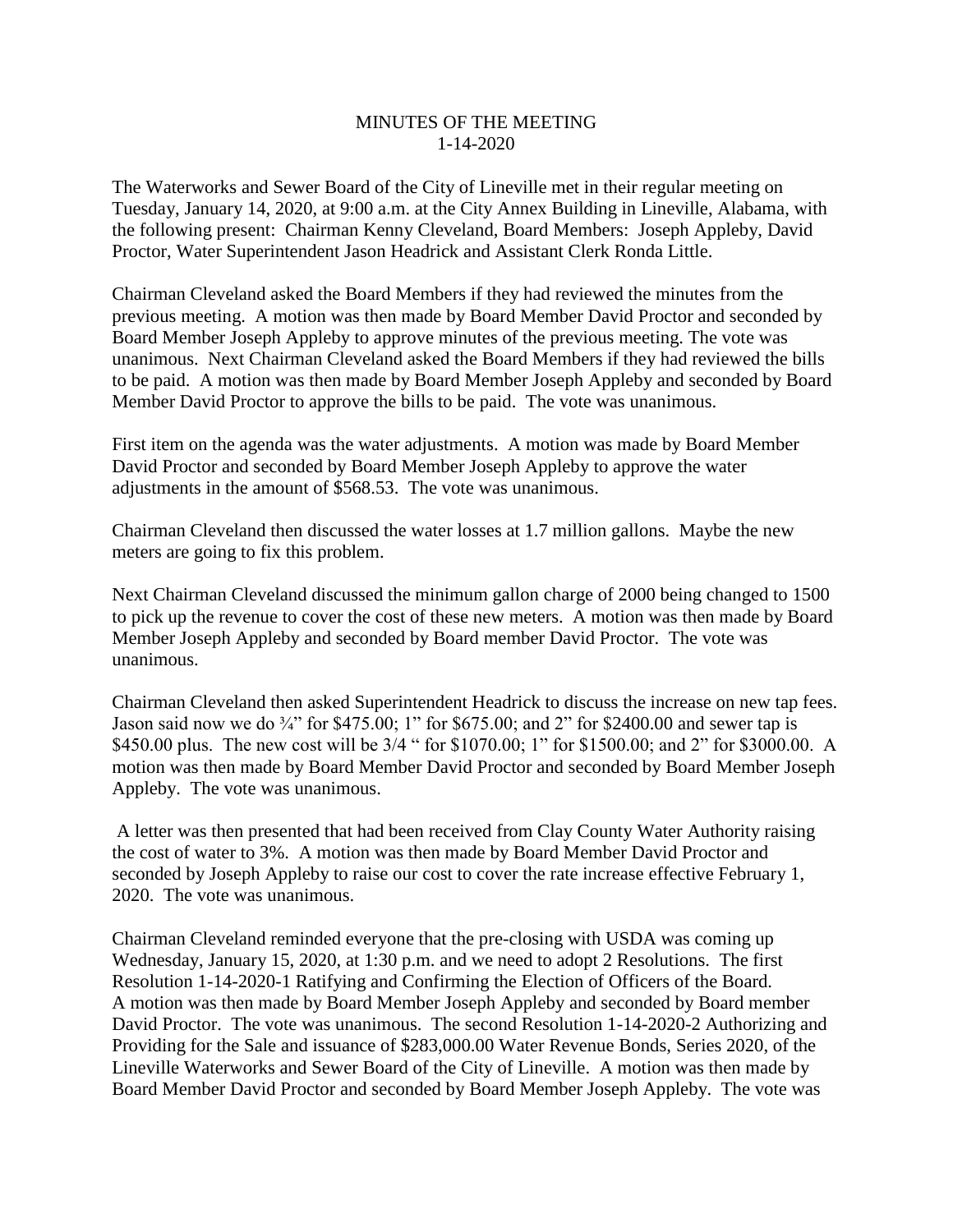## MINUTES OF THE MEETING 1-14-2020

The Waterworks and Sewer Board of the City of Lineville met in their regular meeting on Tuesday, January 14, 2020, at 9:00 a.m. at the City Annex Building in Lineville, Alabama, with the following present: Chairman Kenny Cleveland, Board Members: Joseph Appleby, David Proctor, Water Superintendent Jason Headrick and Assistant Clerk Ronda Little.

Chairman Cleveland asked the Board Members if they had reviewed the minutes from the previous meeting. A motion was then made by Board Member David Proctor and seconded by Board Member Joseph Appleby to approve minutes of the previous meeting. The vote was unanimous. Next Chairman Cleveland asked the Board Members if they had reviewed the bills to be paid. A motion was then made by Board Member Joseph Appleby and seconded by Board Member David Proctor to approve the bills to be paid. The vote was unanimous.

First item on the agenda was the water adjustments. A motion was made by Board Member David Proctor and seconded by Board Member Joseph Appleby to approve the water adjustments in the amount of \$568.53. The vote was unanimous.

Chairman Cleveland then discussed the water losses at 1.7 million gallons. Maybe the new meters are going to fix this problem.

Next Chairman Cleveland discussed the minimum gallon charge of 2000 being changed to 1500 to pick up the revenue to cover the cost of these new meters. A motion was then made by Board Member Joseph Appleby and seconded by Board member David Proctor. The vote was unanimous.

Chairman Cleveland then asked Superintendent Headrick to discuss the increase on new tap fees. Jason said now we do 3/4" for \$475.00; 1" for \$675.00; and 2" for \$2400.00 and sewer tap is \$450.00 plus. The new cost will be  $3/4$  " for \$1070.00; 1" for \$1500.00; and 2" for \$3000.00. A motion was then made by Board Member David Proctor and seconded by Board Member Joseph Appleby. The vote was unanimous.

A letter was then presented that had been received from Clay County Water Authority raising the cost of water to 3%. A motion was then made by Board Member David Proctor and seconded by Joseph Appleby to raise our cost to cover the rate increase effective February 1, 2020. The vote was unanimous.

Chairman Cleveland reminded everyone that the pre-closing with USDA was coming up Wednesday, January 15, 2020, at 1:30 p.m. and we need to adopt 2 Resolutions. The first Resolution 1-14-2020-1 Ratifying and Confirming the Election of Officers of the Board. A motion was then made by Board Member Joseph Appleby and seconded by Board member David Proctor. The vote was unanimous. The second Resolution 1-14-2020-2 Authorizing and Providing for the Sale and issuance of \$283,000.00 Water Revenue Bonds, Series 2020, of the Lineville Waterworks and Sewer Board of the City of Lineville. A motion was then made by Board Member David Proctor and seconded by Board Member Joseph Appleby. The vote was